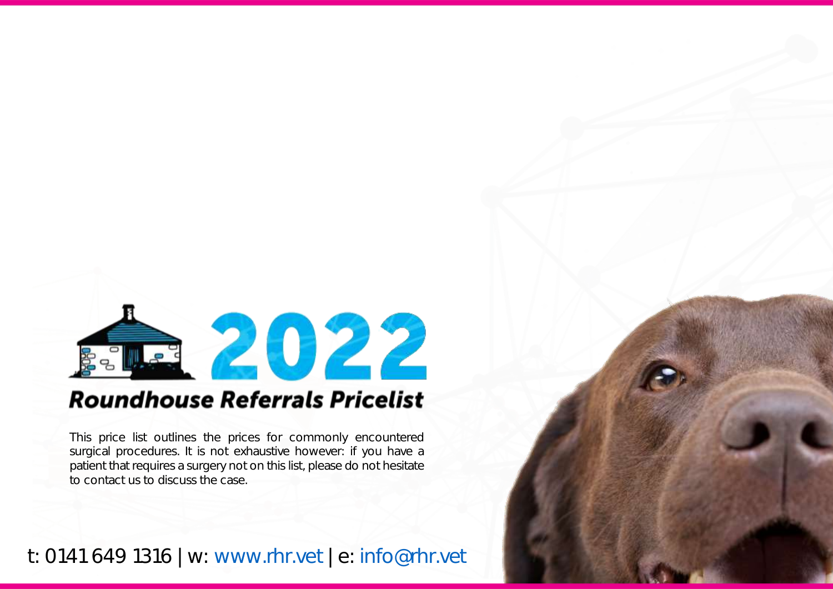

## **Roundhouse Referrals Pricelist**

This price list outlines the prices for commonly encountered surgical procedures. It is not exhaustive however: if you have a patient that requires a surgery not on this list, please do not hesitate to contact us to discuss the case.

t: 0141 649 1316 | w: [www.rhr.vet](http://www.rhr.vet/) | e: [info@rhr.vet](mailto:info@rhr.vet)

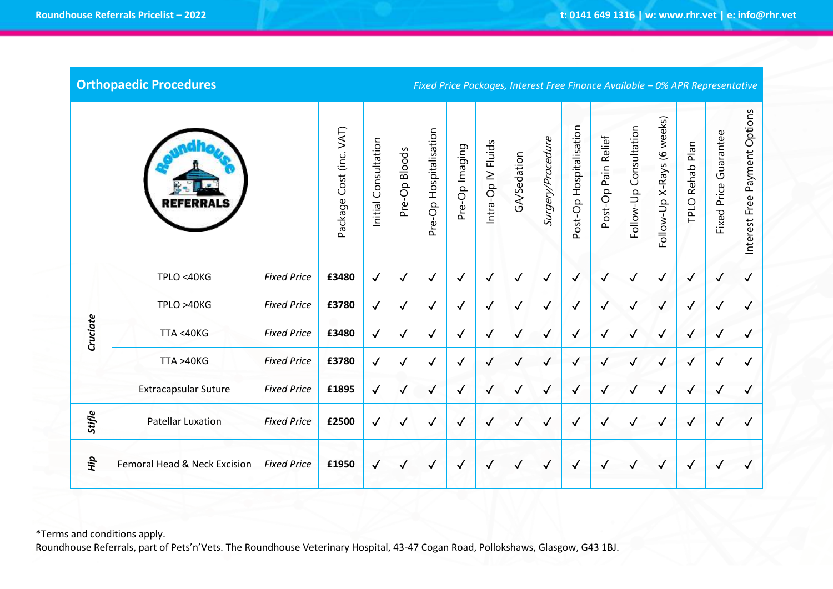**Orthopaedic Procedures** *Fixed Price Packages, Interest Free Finance Available – 0% APR Representative*

|          |                              |                    | Cost (inc. VAT)<br>Package ( | Consultation<br>Initial | <b>Bloods</b><br>Pre-Op | Hospitalisation<br>Pre-Op | Pre-Op Imaging | Fluids<br>Intra-Op IV | GA/Sedation  | Surgery/Procedure | Hospitalisation<br>Post-Op I | Relief<br>Pain<br>Post-Op | Consultation<br>Follow-Up | Follow-Up X-Rays (6 weeks) | Plan<br><b>Rehab</b><br><b>TPLO</b> | Fixed Price Guarantee | Interest Free Payment Options |
|----------|------------------------------|--------------------|------------------------------|-------------------------|-------------------------|---------------------------|----------------|-----------------------|--------------|-------------------|------------------------------|---------------------------|---------------------------|----------------------------|-------------------------------------|-----------------------|-------------------------------|
|          | TPLO <40KG                   | <b>Fixed Price</b> | £3480                        | $\checkmark$            | $\checkmark$            | $\checkmark$              | $\checkmark$   | $\checkmark$          | $\checkmark$ | $\sqrt{2}$        | $\checkmark$                 | $\checkmark$              | $\checkmark$              | $\checkmark$               | $\checkmark$                        | $\checkmark$          | $\checkmark$                  |
|          | TPLO >40KG                   | <b>Fixed Price</b> | £3780                        | $\checkmark$            | $\checkmark$            | $\checkmark$              | $\checkmark$   | $\checkmark$          | $\checkmark$ | $\checkmark$      | $\checkmark$                 | $\checkmark$              | $\checkmark$              | $\checkmark$               | $\checkmark$                        | $\checkmark$          | $\checkmark$                  |
| Cruciate | TTA <40KG                    | <b>Fixed Price</b> | £3480                        | $\checkmark$            | $\checkmark$            | $\checkmark$              | $\checkmark$   | $\checkmark$          | $\checkmark$ | $\checkmark$      | $\checkmark$                 | $\checkmark$              | $\checkmark$              | $\checkmark$               | $\checkmark$                        | $\checkmark$          | $\checkmark$                  |
|          | <b>TTA &gt;40KG</b>          | <b>Fixed Price</b> | £3780                        | $\checkmark$            | $\checkmark$            | $\checkmark$              | $\checkmark$   | $\checkmark$          | $\checkmark$ | $\sqrt{ }$        | $\checkmark$                 | $\checkmark$              | $\checkmark$              | $\checkmark$               | $\checkmark$                        | $\checkmark$          | $\checkmark$                  |
|          | <b>Extracapsular Suture</b>  | <b>Fixed Price</b> | £1895                        | $\checkmark$            | $\checkmark$            | $\checkmark$              | $\checkmark$   | $\checkmark$          | $\checkmark$ | $\checkmark$      | $\checkmark$                 | $\checkmark$              | $\checkmark$              | $\checkmark$               | $\checkmark$                        | $\checkmark$          | $\checkmark$                  |
| Stifle   | <b>Patellar Luxation</b>     | <b>Fixed Price</b> | £2500                        | $\checkmark$            | $\checkmark$            | $\checkmark$              | $\checkmark$   | $\checkmark$          | $\checkmark$ | $\sqrt{ }$        | $\checkmark$                 | $\checkmark$              | $\checkmark$              | $\checkmark$               | $\checkmark$                        | $\checkmark$          | $\checkmark$                  |
| Нiр      | Femoral Head & Neck Excision | <b>Fixed Price</b> | £1950                        | $\checkmark$            | $\checkmark$            | $\checkmark$              | $\checkmark$   | $\checkmark$          | $\checkmark$ | $\checkmark$      | $\checkmark$                 | $\checkmark$              | $\checkmark$              | $\checkmark$               | √                                   | $\checkmark$          | $\checkmark$                  |

\*Terms and conditions apply.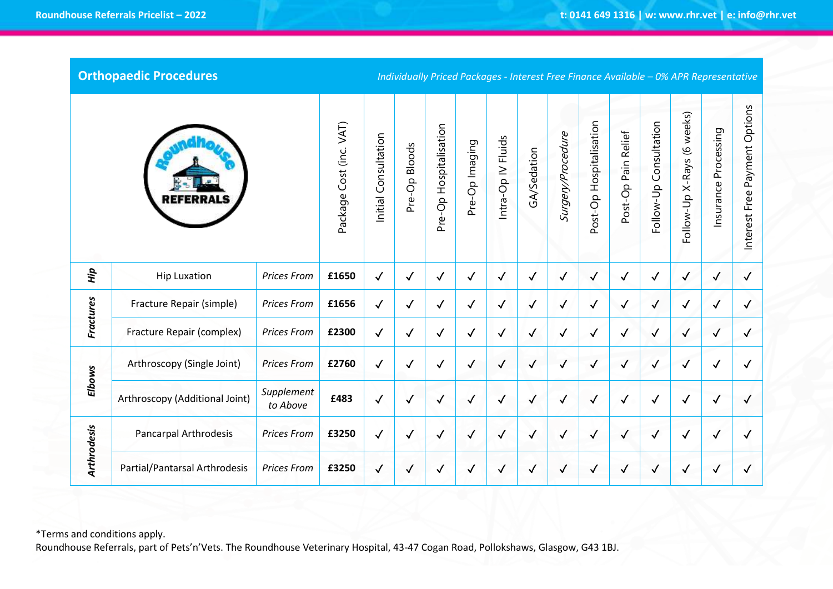|                    | <b>Orthopaedic Procedures</b>  |                        |                         |                      |               |                        |                |                                  | Individually Priced Packages - Interest Free Finance Available - 0% APR Representative |                   |                              |                      |                           |                            |                      |                                  |
|--------------------|--------------------------------|------------------------|-------------------------|----------------------|---------------|------------------------|----------------|----------------------------------|----------------------------------------------------------------------------------------|-------------------|------------------------------|----------------------|---------------------------|----------------------------|----------------------|----------------------------------|
|                    |                                |                        | Package Cost (inc. VAT) | Initial Consultation | Pre-Op Bloods | Pre-Op Hospitalisation | Pre-Op Imaging | Fluids<br>Intra-Op <sub>IV</sub> | GA/Sedation                                                                            | Surgery/Procedure | Hospitalisation<br>Post-Op I | Post-Op Pain Relief  | Consultation<br>Follow-Up | Follow-Up X-Rays (6 weeks) | Insurance Processing | Payment Options<br>Interest Free |
| Нiр                | <b>Hip Luxation</b>            | <b>Prices From</b>     | £1650                   | $\checkmark$         | $\checkmark$  | $\checkmark$           | $\checkmark$   | $\checkmark$                     | $\checkmark$                                                                           | $\checkmark$      | $\checkmark$                 | $\blacktriangledown$ | $\checkmark$              | $\checkmark$               | $\checkmark$         | $\checkmark$                     |
|                    | Fracture Repair (simple)       | <b>Prices From</b>     | £1656                   | $\checkmark$         | $\sqrt{2}$    | $\checkmark$           | $\checkmark$   | $\checkmark$                     | $\checkmark$                                                                           | $\checkmark$      | $\checkmark$                 | $\checkmark$         | $\checkmark$              | $\checkmark$               | $\checkmark$         | $\checkmark$                     |
| Fractures          | Fracture Repair (complex)      | <b>Prices From</b>     | £2300                   | $\checkmark$         | $\checkmark$  | $\checkmark$           | $\checkmark$   | $\checkmark$                     | $\checkmark$                                                                           | $\checkmark$      | $\checkmark$                 | $\checkmark$         | $\checkmark$              | $\checkmark$               | $\checkmark$         | $\checkmark$                     |
|                    | Arthroscopy (Single Joint)     | <b>Prices From</b>     | £2760                   | $\checkmark$         | $\checkmark$  | $\checkmark$           | $\checkmark$   | $\checkmark$                     | $\checkmark$                                                                           | $\checkmark$      | $\checkmark$                 | $\checkmark$         | $\checkmark$              | $\checkmark$               | $\checkmark$         |                                  |
| <b>Elbows</b>      | Arthroscopy (Additional Joint) | Supplement<br>to Above | £483                    | $\checkmark$         | $\checkmark$  | $\checkmark$           | $\checkmark$   | $\checkmark$                     | $\checkmark$                                                                           | $\sqrt{2}$        | $\checkmark$                 | $\checkmark$         | $\checkmark$              | $\checkmark$               | $\checkmark$         | $\checkmark$                     |
|                    | Pancarpal Arthrodesis          | <b>Prices From</b>     | £3250                   | $\checkmark$         | $\sqrt{ }$    | $\checkmark$           | $\checkmark$   | $\checkmark$                     | $\checkmark$                                                                           | $\checkmark$      | $\checkmark$                 | $\sqrt{2}$           | $\checkmark$              | $\checkmark$               | $\checkmark$         | $\checkmark$                     |
| <b>Arthrodesis</b> | Partial/Pantarsal Arthrodesis  | <b>Prices From</b>     | £3250                   | $\checkmark$         | $\checkmark$  | $\checkmark$           | $\checkmark$   | $\checkmark$                     | $\checkmark$                                                                           | $\checkmark$      | $\checkmark$                 | $\checkmark$         | $\checkmark$              | $\checkmark$               | $\checkmark$         | $\sqrt{2}$                       |

\*Terms and conditions apply.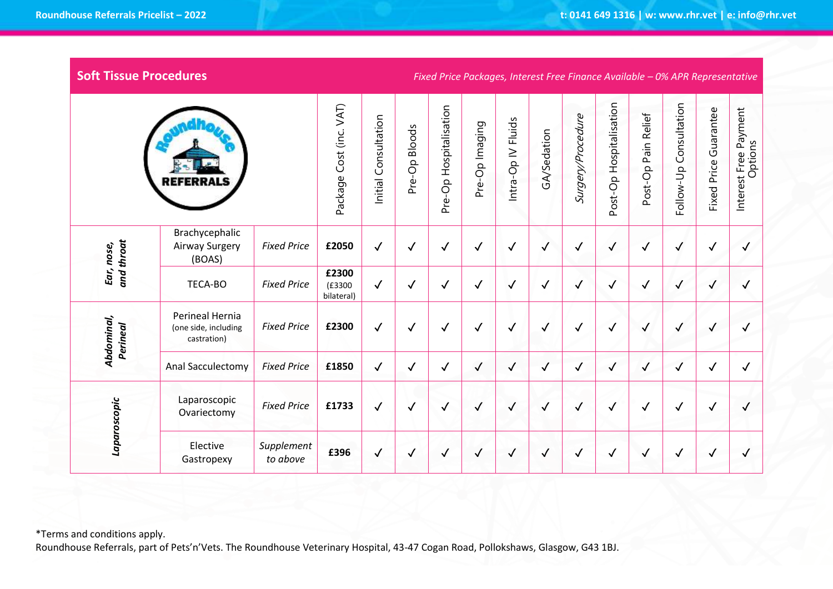**Soft Tissue Procedures** *Fixed Price Packages, Interest Free Finance Available – 0% APR Representative*

|                          |                                            |                                                        |                        | Cost (inc. VAT)<br>Package    | Consultation<br>Initial | <b>Bloods</b><br>$\sigma$<br>Pre- | Hospitalisation<br>Pre-Op | Pre-Op Imaging | Intra-Op IV Fluids | GA/Sedation  | Surgery/Procedure | Hospitalisation<br>Post-Op | Pain Relief<br>Post-Op | Consultation<br>Follow-Up | Guarantee<br><b>Fixed Price</b> | Interest Free Payment<br>Options |
|--------------------------|--------------------------------------------|--------------------------------------------------------|------------------------|-------------------------------|-------------------------|-----------------------------------|---------------------------|----------------|--------------------|--------------|-------------------|----------------------------|------------------------|---------------------------|---------------------------------|----------------------------------|
| and throat<br>Ear, nose, | Brachycephalic<br>Airway Surgery<br>(BOAS) | <b>Fixed Price</b>                                     | £2050                  | $\checkmark$                  | $\checkmark$            | $\checkmark$                      | $\checkmark$              | ✓              | $\checkmark$       | $\sqrt{2}$   | $\checkmark$      | $\checkmark$               | $\checkmark$           | $\checkmark$              | $\sqrt{ }$                      |                                  |
|                          |                                            | TECA-BO                                                | <b>Fixed Price</b>     | £2300<br>(£3300<br>bilateral) | $\checkmark$            | ✓                                 | √                         | $\checkmark$   | ✓                  | $\checkmark$ | $\sqrt{2}$        | $\checkmark$               | $\checkmark$           | $\checkmark$              | $\checkmark$                    |                                  |
|                          | Abdominal,<br>Perineal                     | Perineal Hernia<br>(one side, including<br>castration) | <b>Fixed Price</b>     | £2300                         | $\checkmark$            | √                                 | $\checkmark$              | $\sqrt{ }$     | √                  | $\checkmark$ |                   | $\sqrt{2}$                 | $\checkmark$           | $\checkmark$              | $\checkmark$                    | √                                |
|                          |                                            | Anal Sacculectomy                                      | <b>Fixed Price</b>     | £1850                         | $\checkmark$            | $\checkmark$                      | √                         | $\checkmark$   | $\checkmark$       | $\checkmark$ |                   | $\checkmark$               | $\checkmark$           | $\checkmark$              | $\checkmark$                    | $\checkmark$                     |
|                          | Laparoscopic                               | Laparoscopic<br>Ovariectomy                            | <b>Fixed Price</b>     | £1733                         | $\checkmark$            | ✓                                 | √                         | $\checkmark$   | ✓                  | √            |                   | $\sqrt{ }$                 | ✓                      | $\checkmark$              | $\checkmark$                    | ✓                                |
|                          |                                            | Elective<br>Gastropexy                                 | Supplement<br>to above | £396                          | $\checkmark$            | √                                 | √                         | $\checkmark$   | ✓                  | $\checkmark$ | $\sqrt{2}$        | $\sqrt{ }$                 | √                      | $\checkmark$              | $\checkmark$                    |                                  |

\*Terms and conditions apply.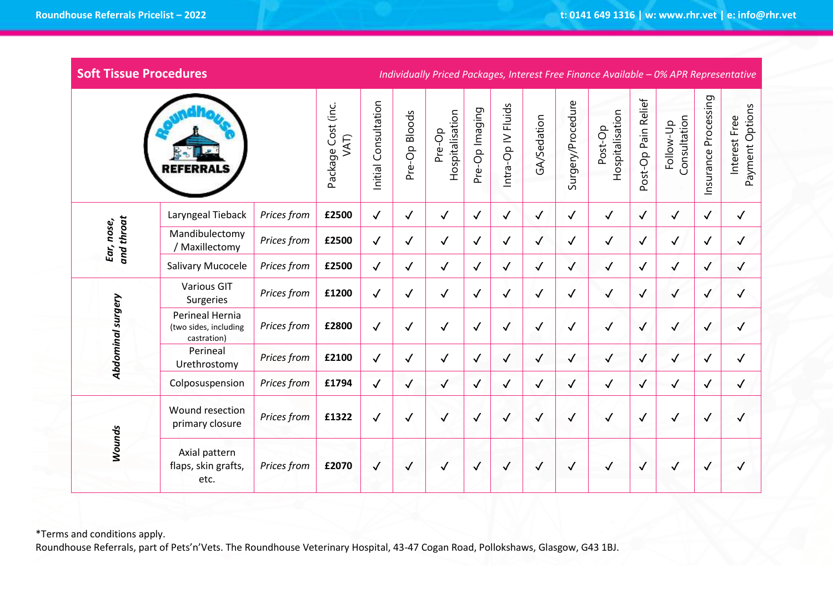| <b>Soft Tissue Procedures</b> |                                                         |             |                            |                      |               |                           |                |                                  |              |                   | Individually Priced Packages, Interest Free Finance Available - 0% APR Representative |                     |                           |                      |                                  |
|-------------------------------|---------------------------------------------------------|-------------|----------------------------|----------------------|---------------|---------------------------|----------------|----------------------------------|--------------|-------------------|---------------------------------------------------------------------------------------|---------------------|---------------------------|----------------------|----------------------------------|
|                               |                                                         |             | Package Cost (inc.<br>VAT) | Initial Consultation | Pre-Op Bloods | Hospitalisation<br>Pre-Op | Pre-Op Imaging | Fluids<br>Intra-Op <sub>IV</sub> | GA/Sedation  | Surgery/Procedure | Hospitalisation<br>Post-Op                                                            | Post-Op Pain Relief | Consultation<br>Follow-Up | Insurance Processing | Payment Options<br>Interest Free |
|                               | Laryngeal Tieback                                       | Prices from | £2500                      | $\checkmark$         | $\checkmark$  | $\checkmark$              | $\checkmark$   | $\checkmark$                     | $\checkmark$ | $\checkmark$      | $\checkmark$                                                                          | $\checkmark$        | $\checkmark$              | $\checkmark$         | $\checkmark$                     |
| and throat<br>Ear, nose,      | Mandibulectomy<br>/ Maxillectomy                        | Prices from | £2500                      | $\checkmark$         | $\checkmark$  | $\checkmark$              | $\checkmark$   | $\checkmark$                     | $\checkmark$ | $\checkmark$      | $\checkmark$                                                                          | $\checkmark$        | $\checkmark$              | $\checkmark$         | $\sqrt{2}$                       |
|                               | Salivary Mucocele                                       | Prices from | £2500                      | $\checkmark$         | $\checkmark$  | $\checkmark$              | $\checkmark$   | $\checkmark$                     | $\checkmark$ | $\checkmark$      | $\checkmark$                                                                          | $\checkmark$        | $\checkmark$              | $\checkmark$         | $\checkmark$                     |
|                               | <b>Various GIT</b><br>Surgeries                         | Prices from | £1200                      | $\checkmark$         | $\checkmark$  | $\checkmark$              | $\checkmark$   | $\checkmark$                     | $\checkmark$ | $\checkmark$      | $\checkmark$                                                                          | $\checkmark$        | $\checkmark$              | $\checkmark$         | $\checkmark$                     |
| <b>Abdominal surgery</b>      | Perineal Hernia<br>(two sides, including<br>castration) | Prices from | £2800                      | $\checkmark$         | $\checkmark$  | $\checkmark$              | $\checkmark$   | $\checkmark$                     | $\checkmark$ | $\checkmark$      | $\checkmark$                                                                          | $\checkmark$        | $\checkmark$              | $\checkmark$         | $\sqrt{2}$                       |
|                               | Perineal<br>Urethrostomy                                | Prices from | £2100                      | $\checkmark$         | $\checkmark$  | $\checkmark$              | $\sqrt{2}$     | $\checkmark$                     | $\checkmark$ | $\checkmark$      | $\checkmark$                                                                          | $\checkmark$        | $\checkmark$              | $\checkmark$         | $\checkmark$                     |
|                               | Colposuspension                                         | Prices from | £1794                      | $\checkmark$         | $\checkmark$  | $\checkmark$              | $\checkmark$   | $\checkmark$                     | $\checkmark$ | $\checkmark$      | $\checkmark$                                                                          | $\checkmark$        | $\checkmark$              | $\checkmark$         | $\checkmark$                     |
|                               | Wound resection<br>primary closure                      | Prices from | £1322                      | $\checkmark$         | $\checkmark$  | $\checkmark$              | $\checkmark$   | $\checkmark$                     | $\checkmark$ | √                 | $\checkmark$                                                                          | $\checkmark$        | $\sqrt{2}$                | $\checkmark$         | $\sqrt{2}$                       |
| Wounds                        | Axial pattern<br>flaps, skin grafts,<br>etc.            | Prices from | £2070                      | $\checkmark$         | $\checkmark$  | $\checkmark$              | $\sqrt{2}$     | $\checkmark$                     | $\checkmark$ | $\sqrt{2}$        | $\checkmark$                                                                          | $\checkmark$        | $\sqrt{2}$                | $\checkmark$         | $\checkmark$                     |

\*Terms and conditions apply.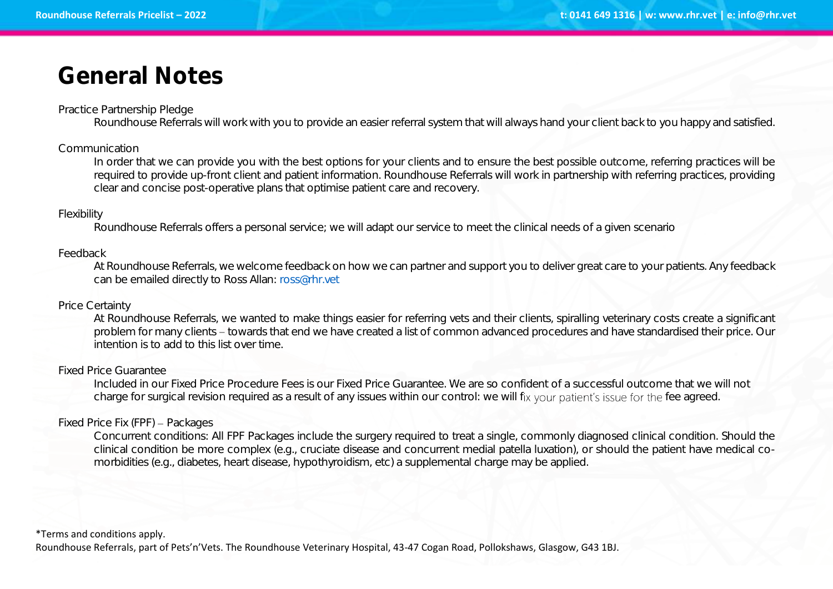## *General Notes*

### *Practice Partnership Pledge*

Roundhouse Referrals will work with you to provide an easier referral system that will always hand your client back to you happy and satisfied.

#### *Communication*

In order that we can provide you with the best options for your clients and to ensure the best possible outcome, referring practices will be required to provide up-front client and patient information. Roundhouse Referrals will work in partnership with referring practices, providing clear and concise post-operative plans that optimise patient care and recovery.

#### *Flexibility*

Roundhouse Referrals offers a personal service; we will adapt our service to meet the clinical needs of a given scenario

#### *Feedback*

At Roundhouse Referrals, we welcome feedback on how we can partner and support you to deliver great care to your patients. Any feedback can be emailed directly to Ross Allan: [ross@rhr.vet](mailto:ross@rhr.vet)

#### *Price Certainty*

At Roundhouse Referrals, we wanted to make things easier for referring vets and their clients, spiralling veterinary costs create a significant problem for many clients – towards that end we have created a list of common advanced procedures and have standardised their price. Our intention is to add to this list over time.

#### *Fixed Price Guarantee*

Included in our Fixed Price Procedure Fees is our Fixed Price Guarantee. We are so confident of a successful outcome that we will not charge for surgical revision required as a result of any issues within our control: we will fix your patient's issue for the fee agreed.

#### *Fixed Price Fix (FPF) - Packages*

Concurrent conditions: All FPF Packages include the surgery required to treat a single, commonly diagnosed clinical condition. Should the clinical condition be more complex (e.g., cruciate disease and concurrent medial patella luxation), or should the patient have medical comorbidities (e.g., diabetes, heart disease, hypothyroidism, etc) a supplemental charge may be applied.

\*Terms and conditions apply.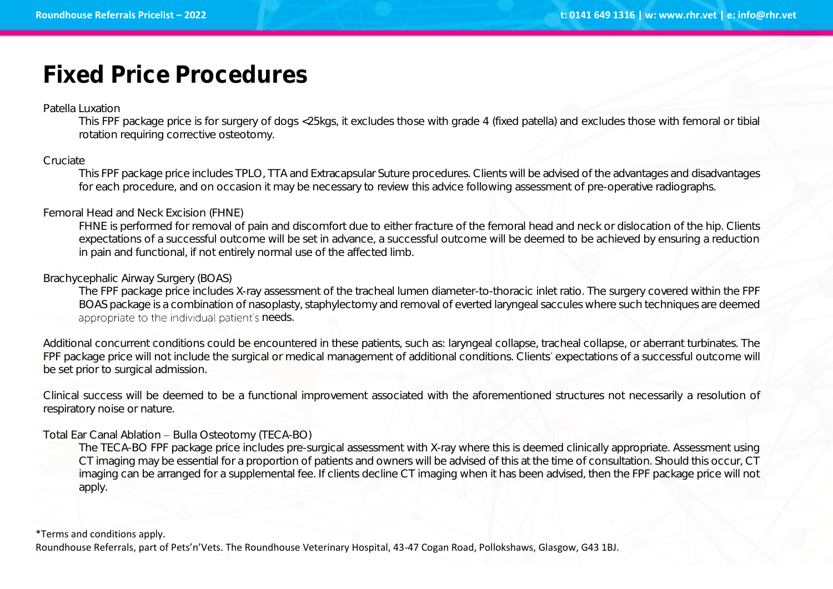### *Fixed Price Procedures*

### *Patella Luxation*

This FPF package price is for surgery of dogs <25kgs, it excludes those with grade 4 (fixed patella) and excludes those with femoral or tibial rotation requiring corrective osteotomy.

### *Cruciate*

This FPF package price includes TPLO, TTA and Extracapsular Suture procedures. Clients will be advised of the advantages and disadvantages for each procedure, and on occasion it may be necessary to review this advice following assessment of pre-operative radiographs.

### *Femoral Head and Neck Excision (FHNE)*

FHNE is performed for removal of pain and discomfort due to either fracture of the femoral head and neck or dislocation of the hip. Clients expectations of a successful outcome will be set in advance, a successful outcome will be deemed to be achieved by ensuring a reduction in pain and functional, if not entirely normal use of the affected limb.

### *Brachycephalic Airway Surgery (BOAS)*

The FPF package price includes X-ray assessment of the tracheal lumen diameter-to-thoracic inlet ratio. The surgery covered within the FPF BOAS package is a combination of nasoplasty, staphylectomy and removal of everted laryngeal saccules where such techniques are deemed appropriate to the individual patient's needs.

Additional concurrent conditions could be encountered in these patients, such as: laryngeal collapse, tracheal collapse, or aberrant turbinates. The FPF package price will not include the surgical or medical management of additional conditions. Clients' expectations of a successful outcome will be set prior to surgical admission.

Clinical success will be deemed to be a functional improvement associated with the aforementioned structures not necessarily a resolution of respiratory noise or nature.

### *Total Ear Canal Ablation - Bulla Osteotomy (TECA-BO)*

The TECA-BO FPF package price includes pre-surgical assessment with X-ray where this is deemed clinically appropriate. Assessment using CT imaging may be essential for a proportion of patients and owners will be advised of this at the time of consultation. Should this occur, CT imaging can be arranged for a supplemental fee. If clients decline CT imaging when it has been advised, then the FPF package price will not apply.

\*Terms and conditions apply.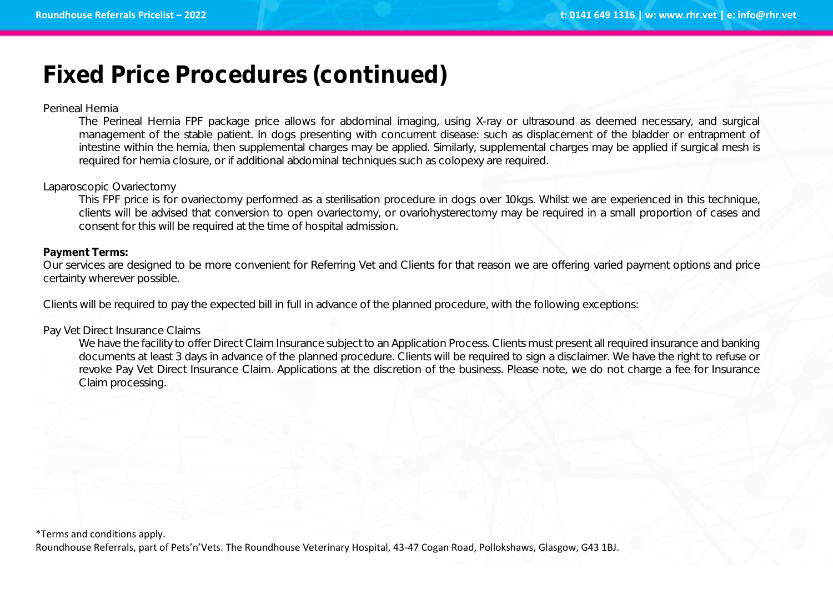## *Fixed Price Procedures (continued)*

#### *Perineal Hernia*

The Perineal Hernia FPF package price allows for abdominal imaging, using X-ray or ultrasound as deemed necessary, and surgical management of the stable patient. In dogs presenting with concurrent disease: such as displacement of the bladder or entrapment of intestine within the hernia, then supplemental charges may be applied. Similarly, supplemental charges may be applied if surgical mesh is required for hernia closure, or if additional abdominal techniques such as colopexy are required.

#### *Laparoscopic Ovariectomy*

This FPF price is for ovariectomy performed as a sterilisation procedure in dogs over 10kgs. Whilst we are experienced in this technique, clients will be advised that conversion to open ovariectomy, or ovariohysterectomy may be required in a small proportion of cases and consent for this will be required at the time of hospital admission.

### Payment Terms:

Our services are designed to be more convenient for Referring Vet and Clients for that reason we are offering varied payment options and price certainty wherever possible.

Clients will be required to pay the expected bill in full in advance of the planned procedure, with the following exceptions:

### *Pay Vet Direct Insurance Claims*

We have the facility to offer Direct Claim Insurance subject to an Application Process. Clients must present all required insurance and banking documents at least 3 days in advance of the planned procedure. Clients will be required to sign a disclaimer. We have the right to refuse or revoke Pay Vet Direct Insurance Claim. Applications at the discretion of the business. Please note, we do not charge a fee for Insurance Claim processing.

\*Terms and conditions apply. Roundhouse Referrals, part of Pets'n'Vets. The Roundhouse Veterinary Hospital, 43-47 Cogan Road, Pollokshaws, Glasgow, G43 1BJ.